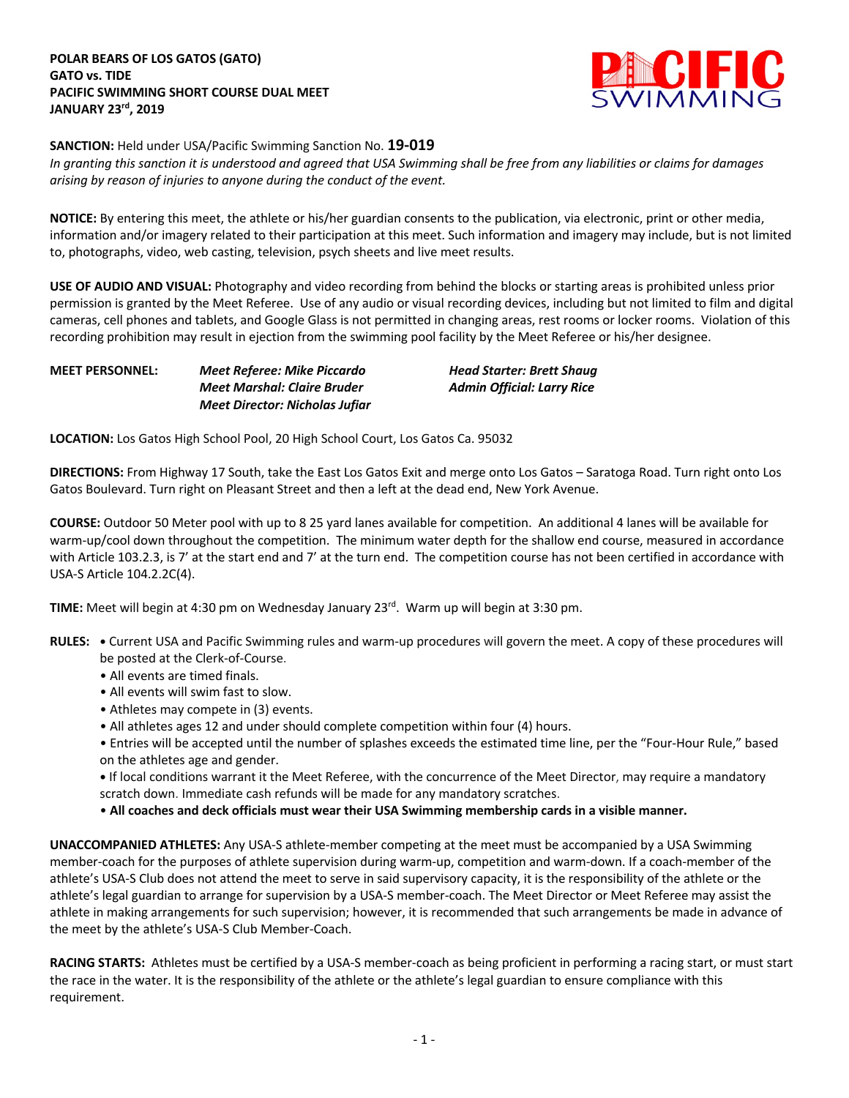

**SANCTION:** Held under USA/Pacific Swimming Sanction No. **19-019**

*In granting this sanction it is understood and agreed that USA Swimming shall be free from any liabilities or claims for damages arising by reason of injuries to anyone during the conduct of the event.* 

**NOTICE:** By entering this meet, the athlete or his/her guardian consents to the publication, via electronic, print or other media, information and/or imagery related to their participation at this meet. Such information and imagery may include, but is not limited to, photographs, video, web casting, television, psych sheets and live meet results.

**USE OF AUDIO AND VISUAL:** Photography and video recording from behind the blocks or starting areas is prohibited unless prior permission is granted by the Meet Referee. Use of any audio or visual recording devices, including but not limited to film and digital cameras, cell phones and tablets, and Google Glass is not permitted in changing areas, rest rooms or locker rooms. Violation of this recording prohibition may result in ejection from the swimming pool facility by the Meet Referee or his/her designee.

| <b>MEET PERSONNEL:</b> | Meet Referee: Mike Piccardo           | <b>Head Starter: Brett Shaug</b>  |
|------------------------|---------------------------------------|-----------------------------------|
|                        | Meet Marshal: Claire Bruder           | <b>Admin Official: Larry Rice</b> |
|                        | <b>Meet Director: Nicholas Jufiar</b> |                                   |

**LOCATION:** Los Gatos High School Pool, 20 High School Court, Los Gatos Ca. 95032

**DIRECTIONS:** From Highway 17 South, take the East Los Gatos Exit and merge onto Los Gatos – Saratoga Road. Turn right onto Los Gatos Boulevard. Turn right on Pleasant Street and then a left at the dead end, New York Avenue.

**COURSE:** Outdoor 50 Meter pool with up to 8 25 yard lanes available for competition. An additional 4 lanes will be available for warm-up/cool down throughout the competition. The minimum water depth for the shallow end course, measured in accordance with Article 103.2.3, is 7' at the start end and 7' at the turn end. The competition course has not been certified in accordance with USA-S Article 104.2.2C(4).

**TIME:** Meet will begin at 4:30 pm on Wednesday January 23<sup>rd</sup>. Warm up will begin at 3:30 pm.

- **RULES: •** Current USA and Pacific Swimming rules and warm-up procedures will govern the meet. A copy of these procedures will be posted at the Clerk-of-Course.
	- All events are timed finals.
	- All events will swim fast to slow.
	- Athletes may compete in (3) events.
	- All athletes ages 12 and under should complete competition within four (4) hours.
	- Entries will be accepted until the number of splashes exceeds the estimated time line, per the "Four-Hour Rule," based on the athletes age and gender.

**•** If local conditions warrant it the Meet Referee, with the concurrence of the Meet Director, may require a mandatory scratch down. Immediate cash refunds will be made for any mandatory scratches.

• **All coaches and deck officials must wear their USA Swimming membership cards in a visible manner.** 

**UNACCOMPANIED ATHLETES:** Any USA-S athlete-member competing at the meet must be accompanied by a USA Swimming member-coach for the purposes of athlete supervision during warm-up, competition and warm-down. If a coach-member of the athlete's USA-S Club does not attend the meet to serve in said supervisory capacity, it is the responsibility of the athlete or the athlete's legal guardian to arrange for supervision by a USA-S member-coach. The Meet Director or Meet Referee may assist the athlete in making arrangements for such supervision; however, it is recommended that such arrangements be made in advance of the meet by the athlete's USA-S Club Member-Coach.

**RACING STARTS:** Athletes must be certified by a USA-S member-coach as being proficient in performing a racing start, or must start the race in the water. It is the responsibility of the athlete or the athlete's legal guardian to ensure compliance with this requirement.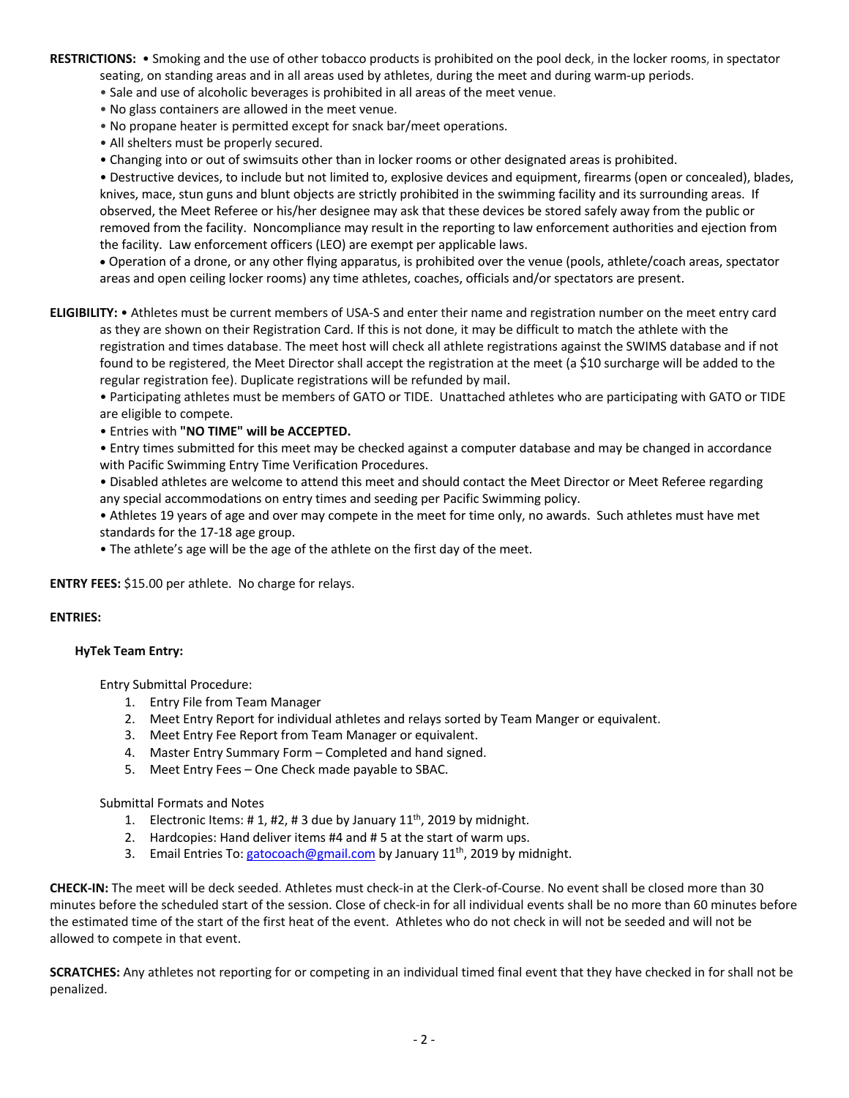**RESTRICTIONS:** • Smoking and the use of other tobacco products is prohibited on the pool deck, in the locker rooms, in spectator seating, on standing areas and in all areas used by athletes, during the meet and during warm-up periods.

- Sale and use of alcoholic beverages is prohibited in all areas of the meet venue.
- No glass containers are allowed in the meet venue.
- No propane heater is permitted except for snack bar/meet operations.
- All shelters must be properly secured.
- Changing into or out of swimsuits other than in locker rooms or other designated areas is prohibited.

• Destructive devices, to include but not limited to, explosive devices and equipment, firearms (open or concealed), blades, knives, mace, stun guns and blunt objects are strictly prohibited in the swimming facility and its surrounding areas. If observed, the Meet Referee or his/her designee may ask that these devices be stored safely away from the public or removed from the facility. Noncompliance may result in the reporting to law enforcement authorities and ejection from the facility. Law enforcement officers (LEO) are exempt per applicable laws.

• Operation of a drone, or any other flying apparatus, is prohibited over the venue (pools, athlete/coach areas, spectator areas and open ceiling locker rooms) any time athletes, coaches, officials and/or spectators are present.

**ELIGIBILITY:** • Athletes must be current members of USA-S and enter their name and registration number on the meet entry card as they are shown on their Registration Card. If this is not done, it may be difficult to match the athlete with the registration and times database. The meet host will check all athlete registrations against the SWIMS database and if not found to be registered, the Meet Director shall accept the registration at the meet (a \$10 surcharge will be added to the regular registration fee). Duplicate registrations will be refunded by mail.

• Participating athletes must be members of GATO or TIDE. Unattached athletes who are participating with GATO or TIDE are eligible to compete.

• Entries with **"NO TIME" will be ACCEPTED.**

• Entry times submitted for this meet may be checked against a computer database and may be changed in accordance with Pacific Swimming Entry Time Verification Procedures.

• Disabled athletes are welcome to attend this meet and should contact the Meet Director or Meet Referee regarding any special accommodations on entry times and seeding per Pacific Swimming policy.

• Athletes 19 years of age and over may compete in the meet for time only, no awards. Such athletes must have met standards for the 17-18 age group.

• The athlete's age will be the age of the athlete on the first day of the meet.

**ENTRY FEES:** \$15.00 per athlete. No charge for relays.

### **ENTRIES:**

#### **HyTek Team Entry:**

Entry Submittal Procedure:

- 1. Entry File from Team Manager
- 2. Meet Entry Report for individual athletes and relays sorted by Team Manger or equivalent.
- 3. Meet Entry Fee Report from Team Manager or equivalent.
- 4. Master Entry Summary Form Completed and hand signed.
- 5. Meet Entry Fees One Check made payable to SBAC.

Submittal Formats and Notes

- 1. Electronic Items: #1, #2, #3 due by January  $11<sup>th</sup>$ , 2019 by midnight.
- 2. Hardcopies: Hand deliver items #4 and # 5 at the start of warm ups.
- 3. Email Entries To: gatocoach@gmail.com by January 11<sup>th</sup>, 2019 by midnight.

**CHECK-IN:** The meet will be deck seeded. Athletes must check-in at the Clerk-of-Course. No event shall be closed more than 30 minutes before the scheduled start of the session. Close of check-in for all individual events shall be no more than 60 minutes before the estimated time of the start of the first heat of the event. Athletes who do not check in will not be seeded and will not be allowed to compete in that event.

**SCRATCHES:** Any athletes not reporting for or competing in an individual timed final event that they have checked in for shall not be penalized.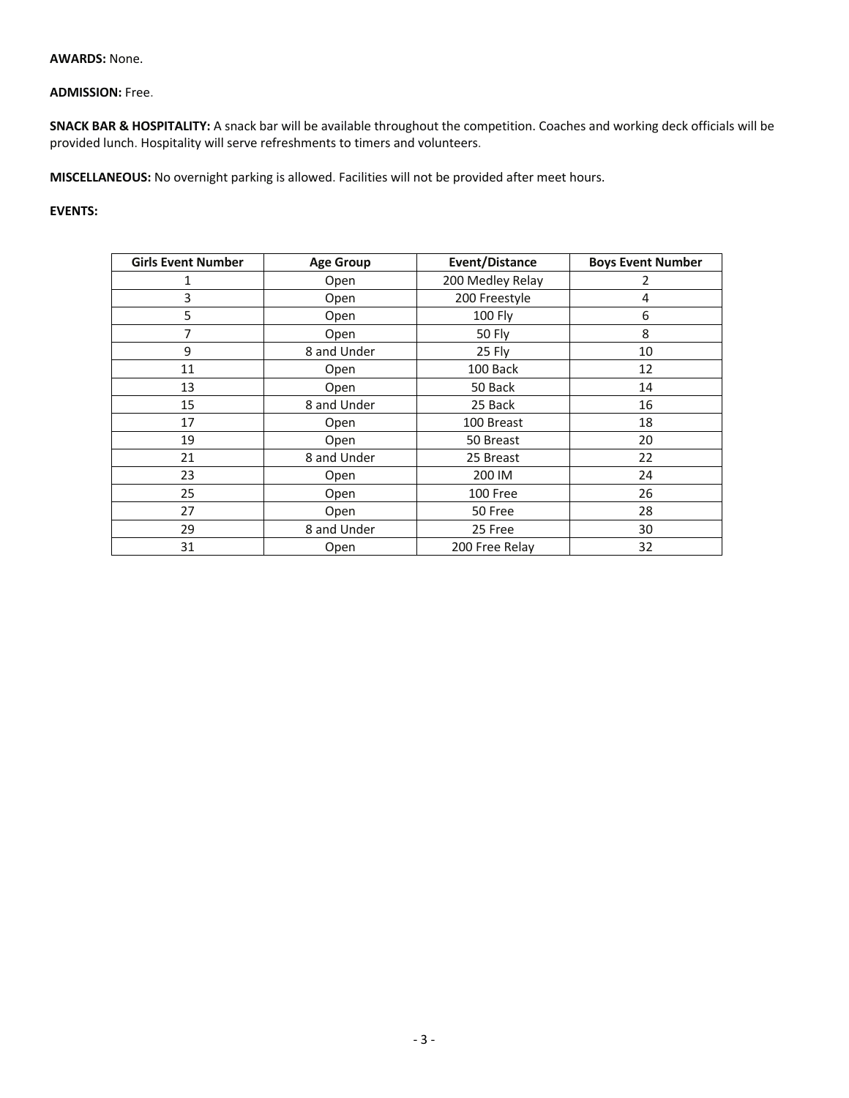### **AWARDS:** None.

# **ADMISSION:** Free.

**SNACK BAR & HOSPITALITY:** A snack bar will be available throughout the competition. Coaches and working deck officials will be provided lunch. Hospitality will serve refreshments to timers and volunteers.

**MISCELLANEOUS:** No overnight parking is allowed. Facilities will not be provided after meet hours.

## **EVENTS:**

| <b>Girls Event Number</b> | <b>Age Group</b> | Event/Distance   | <b>Boys Event Number</b> |
|---------------------------|------------------|------------------|--------------------------|
| 1                         | Open             | 200 Medley Relay | 2                        |
| 3                         | Open             | 200 Freestyle    | 4                        |
| 5                         | Open             | 100 Fly          | 6                        |
| 7                         | Open             | 50 Fly           | 8                        |
| 9                         | 8 and Under      | 25 Fly           | 10                       |
| 11                        | Open             | 100 Back         | 12                       |
| 13                        | Open             | 50 Back          | 14                       |
| 15                        | 8 and Under      | 25 Back          | 16                       |
| 17                        | Open             | 100 Breast       | 18                       |
| 19                        | Open             | 50 Breast        | 20                       |
| 21                        | 8 and Under      | 25 Breast        | 22                       |
| 23                        | Open             | 200 IM           | 24                       |
| 25                        | Open             | 100 Free         | 26                       |
| 27                        | Open             | 50 Free          | 28                       |
| 29                        | 8 and Under      | 25 Free          | 30                       |
| 31                        | Open             | 200 Free Relay   | 32                       |